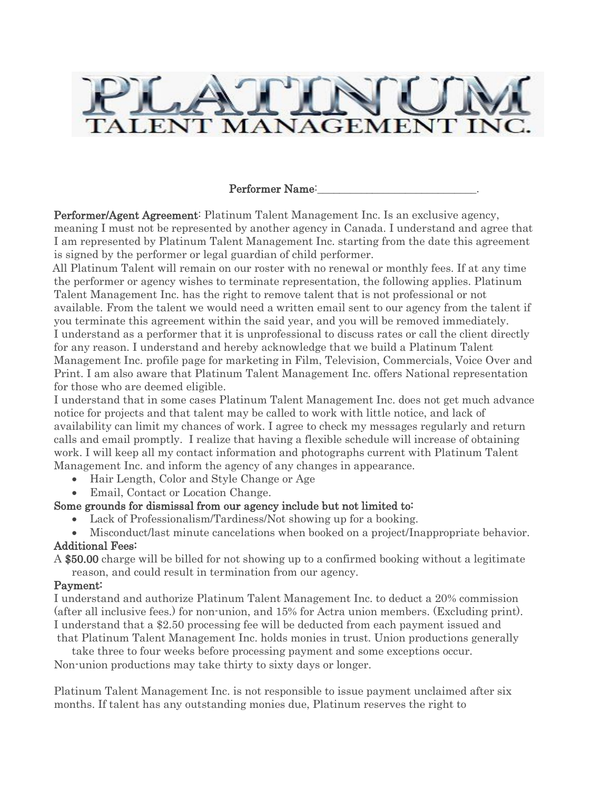

### Performer Name:

Performer/Agent Agreement: Platinum Talent Management Inc. Is an exclusive agency, meaning I must not be represented by another agency in Canada. I understand and agree that I am represented by Platinum Talent Management Inc. starting from the date this agreement is signed by the performer or legal guardian of child performer.

All Platinum Talent will remain on our roster with no renewal or monthly fees. If at any time the performer or agency wishes to terminate representation, the following applies. Platinum Talent Management Inc. has the right to remove talent that is not professional or not available. From the talent we would need a written email sent to our agency from the talent if you terminate this agreement within the said year, and you will be removed immediately. I understand as a performer that it is unprofessional to discuss rates or call the client directly for any reason. I understand and hereby acknowledge that we build a Platinum Talent Management Inc. profile page for marketing in Film, Television, Commercials, Voice Over and Print. I am also aware that Platinum Talent Management Inc. offers National representation for those who are deemed eligible.

I understand that in some cases Platinum Talent Management Inc. does not get much advance notice for projects and that talent may be called to work with little notice, and lack of availability can limit my chances of work. I agree to check my messages regularly and return calls and email promptly. I realize that having a flexible schedule will increase of obtaining work. I will keep all my contact information and photographs current with Platinum Talent Management Inc. and inform the agency of any changes in appearance.

- Hair Length, Color and Style Change or Age
- Email, Contact or Location Change.

### Some grounds for dismissal from our agency include but not limited to:

- Lack of Professionalism/Tardiness/Not showing up for a booking.
- Misconduct/last minute cancelations when booked on a project/Inappropriate behavior. Additional Fees:
- A \$50.00 charge will be billed for not showing up to a confirmed booking without a legitimate reason, and could result in termination from our agency.

#### Payment:

I understand and authorize Platinum Talent Management Inc. to deduct a 20% commission (after all inclusive fees.) for non-union, and 15% for Actra union members. (Excluding print). I understand that a \$2.50 processing fee will be deducted from each payment issued and that Platinum Talent Management Inc. holds monies in trust. Union productions generally

take three to four weeks before processing payment and some exceptions occur. Non-union productions may take thirty to sixty days or longer.

Platinum Talent Management Inc. is not responsible to issue payment unclaimed after six months. If talent has any outstanding monies due, Platinum reserves the right to